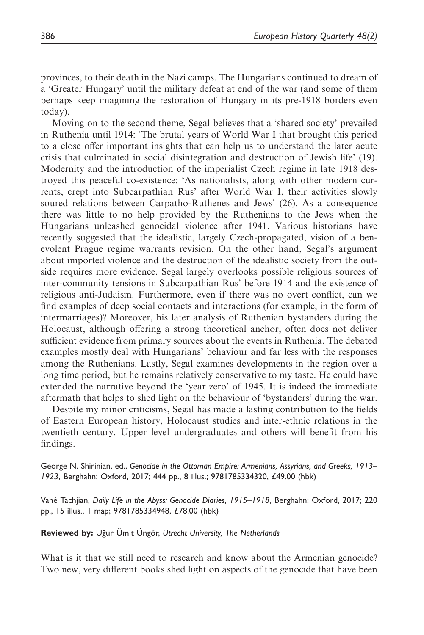provinces, to their death in the Nazi camps. The Hungarians continued to dream of a 'Greater Hungary' until the military defeat at end of the war (and some of them perhaps keep imagining the restoration of Hungary in its pre-1918 borders even today).

Moving on to the second theme, Segal believes that a 'shared society' prevailed in Ruthenia until 1914: 'The brutal years of World War I that brought this period to a close offer important insights that can help us to understand the later acute crisis that culminated in social disintegration and destruction of Jewish life' (19). Modernity and the introduction of the imperialist Czech regime in late 1918 destroyed this peaceful co-existence: 'As nationalists, along with other modern currents, crept into Subcarpathian Rus' after World War I, their activities slowly soured relations between Carpatho-Ruthenes and Jews' (26). As a consequence there was little to no help provided by the Ruthenians to the Jews when the Hungarians unleashed genocidal violence after 1941. Various historians have recently suggested that the idealistic, largely Czech-propagated, vision of a benevolent Prague regime warrants revision. On the other hand, Segal's argument about imported violence and the destruction of the idealistic society from the outside requires more evidence. Segal largely overlooks possible religious sources of inter-community tensions in Subcarpathian Rus' before 1914 and the existence of religious anti-Judaism. Furthermore, even if there was no overt conflict, can we find examples of deep social contacts and interactions (for example, in the form of intermarriages)? Moreover, his later analysis of Ruthenian bystanders during the Holocaust, although offering a strong theoretical anchor, often does not deliver sufficient evidence from primary sources about the events in Ruthenia. The debated examples mostly deal with Hungarians' behaviour and far less with the responses among the Ruthenians. Lastly, Segal examines developments in the region over a long time period, but he remains relatively conservative to my taste. He could have extended the narrative beyond the 'year zero' of 1945. It is indeed the immediate aftermath that helps to shed light on the behaviour of 'bystanders' during the war.

Despite my minor criticisms, Segal has made a lasting contribution to the fields of Eastern European history, Holocaust studies and inter-ethnic relations in the twentieth century. Upper level undergraduates and others will benefit from his findings.

George N. Shirinian, ed., Genocide in the Ottoman Empire: Armenians, Assyrians, and Greeks, 1913– 1923, Berghahn: Oxford, 2017; 444 pp., 8 illus.; 9781785334320, £49.00 (hbk)

Vahe´ Tachjian, Daily Life in the Abyss: Genocide Diaries, 1915–1918, Berghahn: Oxford, 2017; 220 pp., 15 illus., 1 map; 9781785334948, £78.00 (hbk)

Reviewed by: Uğur Ümit Üngör, Utrecht University, The Netherlands

What is it that we still need to research and know about the Armenian genocide? Two new, very different books shed light on aspects of the genocide that have been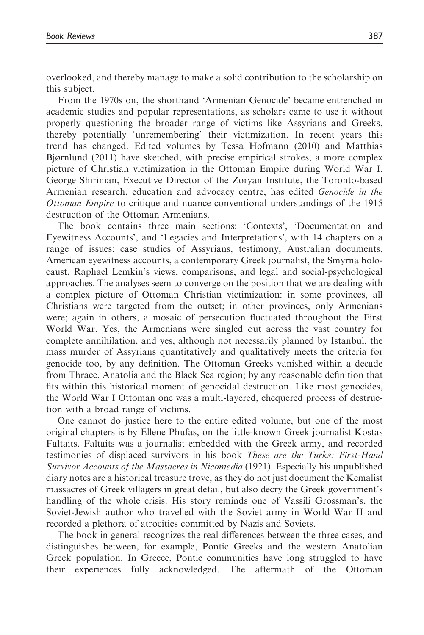overlooked, and thereby manage to make a solid contribution to the scholarship on this subject.

From the 1970s on, the shorthand 'Armenian Genocide' became entrenched in academic studies and popular representations, as scholars came to use it without properly questioning the broader range of victims like Assyrians and Greeks, thereby potentially 'unremembering' their victimization. In recent years this trend has changed. Edited volumes by Tessa Hofmann (2010) and Matthias Bjørnlund (2011) have sketched, with precise empirical strokes, a more complex picture of Christian victimization in the Ottoman Empire during World War I. George Shirinian, Executive Director of the Zoryan Institute, the Toronto-based Armenian research, education and advocacy centre, has edited Genocide in the Ottoman Empire to critique and nuance conventional understandings of the 1915 destruction of the Ottoman Armenians.

The book contains three main sections: 'Contexts', 'Documentation and Eyewitness Accounts', and 'Legacies and Interpretations', with 14 chapters on a range of issues: case studies of Assyrians, testimony, Australian documents, American eyewitness accounts, a contemporary Greek journalist, the Smyrna holocaust, Raphael Lemkin's views, comparisons, and legal and social-psychological approaches. The analyses seem to converge on the position that we are dealing with a complex picture of Ottoman Christian victimization: in some provinces, all Christians were targeted from the outset; in other provinces, only Armenians were; again in others, a mosaic of persecution fluctuated throughout the First World War. Yes, the Armenians were singled out across the vast country for complete annihilation, and yes, although not necessarily planned by Istanbul, the mass murder of Assyrians quantitatively and qualitatively meets the criteria for genocide too, by any definition. The Ottoman Greeks vanished within a decade from Thrace, Anatolia and the Black Sea region; by any reasonable definition that fits within this historical moment of genocidal destruction. Like most genocides, the World War I Ottoman one was a multi-layered, chequered process of destruction with a broad range of victims.

One cannot do justice here to the entire edited volume, but one of the most original chapters is by Ellene Phufas, on the little-known Greek journalist Kostas Faltaits. Faltaits was a journalist embedded with the Greek army, and recorded testimonies of displaced survivors in his book These are the Turks: First-Hand Survivor Accounts of the Massacres in Nicomedia (1921). Especially his unpublished diary notes are a historical treasure trove, as they do not just document the Kemalist massacres of Greek villagers in great detail, but also decry the Greek government's handling of the whole crisis. His story reminds one of Vassili Grossman's, the Soviet-Jewish author who travelled with the Soviet army in World War II and recorded a plethora of atrocities committed by Nazis and Soviets.

The book in general recognizes the real differences between the three cases, and distinguishes between, for example, Pontic Greeks and the western Anatolian Greek population. In Greece, Pontic communities have long struggled to have their experiences fully acknowledged. The aftermath of the Ottoman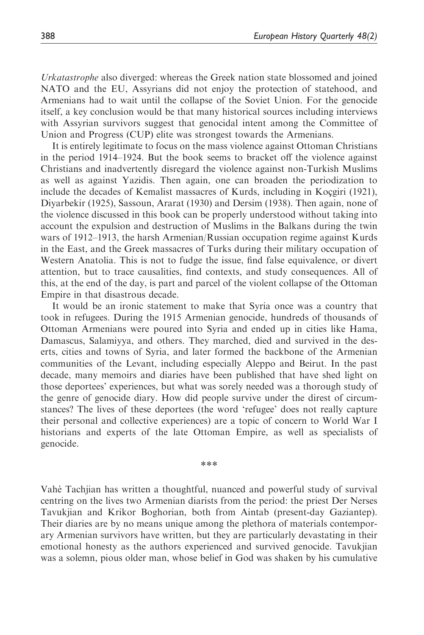Urkatastrophe also diverged: whereas the Greek nation state blossomed and joined NATO and the EU, Assyrians did not enjoy the protection of statehood, and Armenians had to wait until the collapse of the Soviet Union. For the genocide itself, a key conclusion would be that many historical sources including interviews with Assyrian survivors suggest that genocidal intent among the Committee of Union and Progress (CUP) elite was strongest towards the Armenians.

It is entirely legitimate to focus on the mass violence against Ottoman Christians in the period 1914–1924. But the book seems to bracket off the violence against Christians and inadvertently disregard the violence against non-Turkish Muslims as well as against Yazidis. Then again, one can broaden the periodization to include the decades of Kemalist massacres of Kurds, including in Koçgiri (1921), Diyarbekir (1925), Sassoun, Ararat (1930) and Dersim (1938). Then again, none of the violence discussed in this book can be properly understood without taking into account the expulsion and destruction of Muslims in the Balkans during the twin wars of 1912–1913, the harsh Armenian/Russian occupation regime against Kurds in the East, and the Greek massacres of Turks during their military occupation of Western Anatolia. This is not to fudge the issue, find false equivalence, or divert attention, but to trace causalities, find contexts, and study consequences. All of this, at the end of the day, is part and parcel of the violent collapse of the Ottoman Empire in that disastrous decade.

It would be an ironic statement to make that Syria once was a country that took in refugees. During the 1915 Armenian genocide, hundreds of thousands of Ottoman Armenians were poured into Syria and ended up in cities like Hama, Damascus, Salamiyya, and others. They marched, died and survived in the deserts, cities and towns of Syria, and later formed the backbone of the Armenian communities of the Levant, including especially Aleppo and Beirut. In the past decade, many memoirs and diaries have been published that have shed light on those deportees' experiences, but what was sorely needed was a thorough study of the genre of genocide diary. How did people survive under the direst of circumstances? The lives of these deportees (the word 'refugee' does not really capture their personal and collective experiences) are a topic of concern to World War I historians and experts of the late Ottoman Empire, as well as specialists of genocide.

\*\*\*

Vahé Tachjian has written a thoughtful, nuanced and powerful study of survival centring on the lives two Armenian diarists from the period: the priest Der Nerses Tavukjian and Krikor Boghorian, both from Aintab (present-day Gaziantep). Their diaries are by no means unique among the plethora of materials contemporary Armenian survivors have written, but they are particularly devastating in their emotional honesty as the authors experienced and survived genocide. Tavukjian was a solemn, pious older man, whose belief in God was shaken by his cumulative